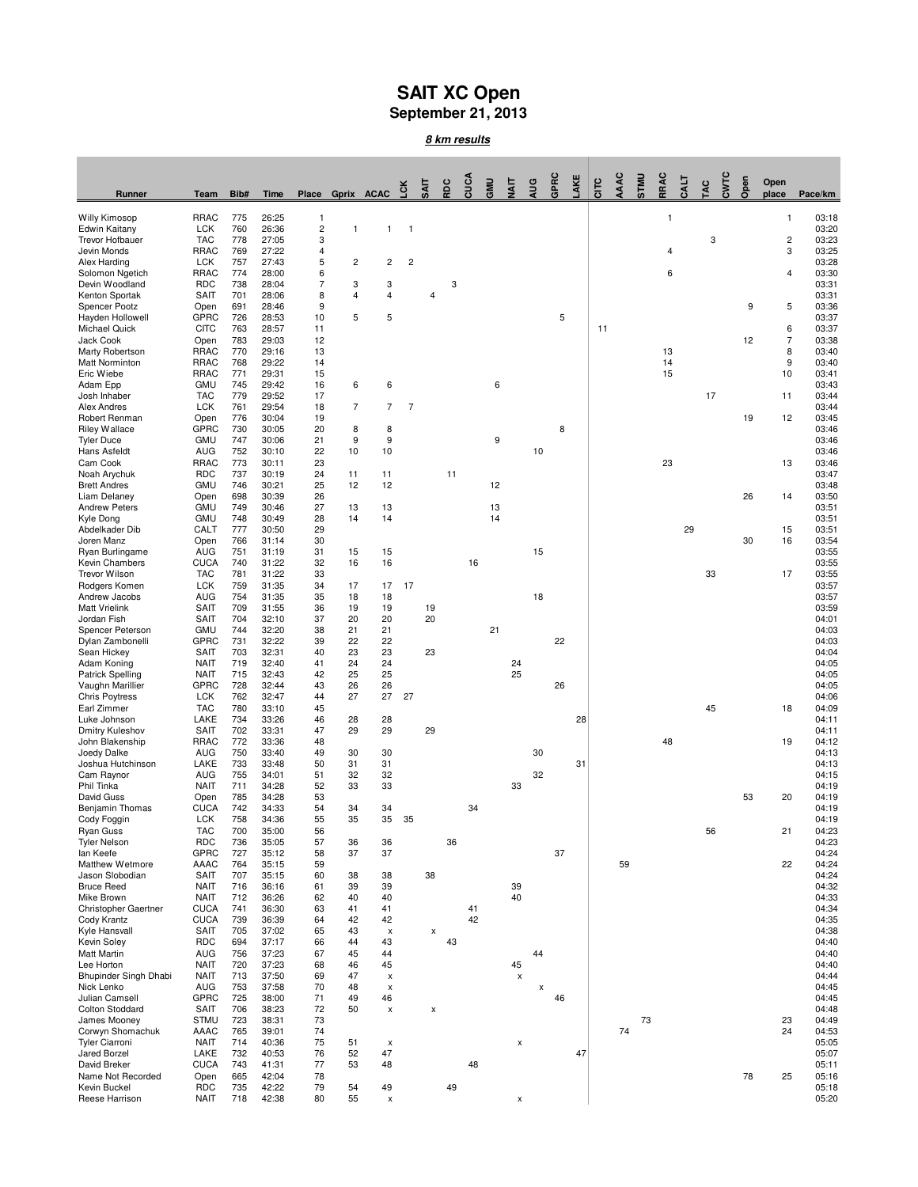## **SAIT XC Open September 21, 2013**

**8 km results**

|                                           |                            |            |                |                              |                |                           |                         | SAIT | RDC | cuca | GMU | ş                    | AUG | GPRC | AKE | circ | <b>AAC</b> | <b>UNLS</b> | RRAC | <b>EAL</b> | ă. | Š | Open | Open           |                |
|-------------------------------------------|----------------------------|------------|----------------|------------------------------|----------------|---------------------------|-------------------------|------|-----|------|-----|----------------------|-----|------|-----|------|------------|-------------|------|------------|----|---|------|----------------|----------------|
| Runner                                    | Team                       | Bib#       | Time           | Place                        | Gprix ACAC 5   |                           |                         |      |     |      |     |                      |     |      |     |      |            |             |      |            |    |   |      | place          | Pace/km        |
| <b>Willy Kimosop</b>                      | <b>RRAC</b>                | 775        | 26:25          | $\mathbf{1}$                 |                |                           |                         |      |     |      |     |                      |     |      |     |      |            |             | 1    |            |    |   |      | 1              | 03:18          |
| Edwin Kaitany<br><b>Trevor Hofbauer</b>   | <b>LCK</b><br><b>TAC</b>   | 760<br>778 | 26:36<br>27:05 | $\overline{\mathbf{c}}$<br>3 | 1              | 1                         | $\mathbf{1}$            |      |     |      |     |                      |     |      |     |      |            |             |      |            | 3  |   |      | $\overline{c}$ | 03:20<br>03:23 |
| Jevin Monds                               | <b>RRAC</b>                | 769        | 27:22          | 4                            |                |                           |                         |      |     |      |     |                      |     |      |     |      |            |             | 4    |            |    |   |      | 3              | 03:25          |
| Alex Harding                              | <b>LCK</b>                 | 757        | 27:43          | 5                            | $\overline{c}$ | $\overline{\mathbf{c}}$   | $\overline{\mathbf{c}}$ |      |     |      |     |                      |     |      |     |      |            |             |      |            |    |   |      |                | 03:28          |
| Solomon Ngetich                           | <b>RRAC</b>                | 774        | 28:00          | 6                            |                |                           |                         |      |     |      |     |                      |     |      |     |      |            |             | 6    |            |    |   |      | 4              | 03:30          |
| Devin Woodland<br>Kenton Sportak          | <b>RDC</b><br><b>SAIT</b>  | 738<br>701 | 28:04<br>28:06 | $\overline{7}$<br>8          | 3<br>4         | 3<br>4                    |                         | 4    | 3   |      |     |                      |     |      |     |      |            |             |      |            |    |   |      |                | 03:31<br>03:31 |
| Spencer Pootz                             | Open                       | 691        | 28:46          | 9                            |                |                           |                         |      |     |      |     |                      |     |      |     |      |            |             |      |            |    |   | 9    | 5              | 03:36          |
| Hayden Hollowell                          | <b>GPRC</b>                | 726        | 28:53          | 10                           | 5              | 5                         |                         |      |     |      |     |                      |     | 5    |     |      |            |             |      |            |    |   |      |                | 03:37          |
| <b>Michael Quick</b>                      | CITC                       | 763        | 28:57          | 11                           |                |                           |                         |      |     |      |     |                      |     |      |     | 11   |            |             |      |            |    |   |      | 6              | 03:37          |
| Jack Cook                                 | Open                       | 783        | 29:03          | 12                           |                |                           |                         |      |     |      |     |                      |     |      |     |      |            |             | 13   |            |    |   | 12   | 7              | 03:38          |
| Marty Robertson<br>Matt Norminton         | <b>RRAC</b><br>RRAC        | 770<br>768 | 29:16<br>29:22 | 13<br>14                     |                |                           |                         |      |     |      |     |                      |     |      |     |      |            |             | 14   |            |    |   |      | 8<br>9         | 03:40<br>03:40 |
| Eric Wiebe                                | <b>RRAC</b>                | 771        | 29:31          | 15                           |                |                           |                         |      |     |      |     |                      |     |      |     |      |            |             | 15   |            |    |   |      | 10             | 03:41          |
| Adam Epp                                  | <b>GMU</b>                 | 745        | 29:42          | 16                           | 6              | 6                         |                         |      |     |      | 6   |                      |     |      |     |      |            |             |      |            |    |   |      |                | 03:43          |
| Josh Inhaber                              | <b>TAC</b>                 | 779        | 29:52          | 17                           |                |                           |                         |      |     |      |     |                      |     |      |     |      |            |             |      |            | 17 |   |      | 11             | 03:44          |
| <b>Alex Andres</b><br>Robert Renman       | <b>LCK</b><br>Open         | 761<br>776 | 29:54<br>30:04 | 18<br>19                     | $\overline{7}$ | $\overline{7}$            | $\overline{7}$          |      |     |      |     |                      |     |      |     |      |            |             |      |            |    |   | 19   | 12             | 03:44<br>03:45 |
| Riley Wallace                             | <b>GPRC</b>                | 730        | 30:05          | 20                           | 8              | 8                         |                         |      |     |      |     |                      |     | 8    |     |      |            |             |      |            |    |   |      |                | 03:46          |
| <b>Tyler Duce</b>                         | GMU                        | 747        | 30:06          | 21                           | 9              | 9                         |                         |      |     |      | 9   |                      |     |      |     |      |            |             |      |            |    |   |      |                | 03:46          |
| Hans Asfeldt                              | AUG                        | 752        | 30:10          | 22                           | 10             | 10                        |                         |      |     |      |     |                      | 10  |      |     |      |            |             |      |            |    |   |      |                | 03:46          |
| Cam Cook                                  | <b>RRAC</b>                | 773        | 30:11          | 23                           |                |                           |                         |      |     |      |     |                      |     |      |     |      |            |             | 23   |            |    |   |      | 13             | 03:46          |
| Noah Arychuk<br><b>Brett Andres</b>       | <b>RDC</b><br><b>GMU</b>   | 737<br>746 | 30:19<br>30:21 | 24<br>25                     | 11<br>12       | 11<br>12                  |                         |      | 11  |      | 12  |                      |     |      |     |      |            |             |      |            |    |   |      |                | 03:47<br>03:48 |
| Liam Delaney                              | Open                       | 698        | 30:39          | 26                           |                |                           |                         |      |     |      |     |                      |     |      |     |      |            |             |      |            |    |   | 26   | 14             | 03:50          |
| <b>Andrew Peters</b>                      | <b>GMU</b>                 | 749        | 30:46          | 27                           | 13             | 13                        |                         |      |     |      | 13  |                      |     |      |     |      |            |             |      |            |    |   |      |                | 03:51          |
| Kyle Dong                                 | GMU                        | 748        | 30:49          | 28                           | 14             | 14                        |                         |      |     |      | 14  |                      |     |      |     |      |            |             |      |            |    |   |      |                | 03:51          |
| Abdelkader Dib<br>Joren Manz              | CALT                       | 777        | 30:50<br>31:14 | 29<br>30                     |                |                           |                         |      |     |      |     |                      |     |      |     |      |            |             |      | 29         |    |   | 30   | 15<br>16       | 03:51<br>03:54 |
| Ryan Burlingame                           | Open<br>AUG                | 766<br>751 | 31:19          | 31                           | 15             | 15                        |                         |      |     |      |     |                      | 15  |      |     |      |            |             |      |            |    |   |      |                | 03:55          |
| Kevin Chambers                            | <b>CUCA</b>                | 740        | 31:22          | 32                           | 16             | 16                        |                         |      |     | 16   |     |                      |     |      |     |      |            |             |      |            |    |   |      |                | 03:55          |
| Trevor Wilson                             | <b>TAC</b>                 | 781        | 31:22          | 33                           |                |                           |                         |      |     |      |     |                      |     |      |     |      |            |             |      |            | 33 |   |      | 17             | 03:55          |
| Rodgers Komen                             | <b>LCK</b>                 | 759        | 31:35          | 34                           | 17             | 17                        | 17                      |      |     |      |     |                      |     |      |     |      |            |             |      |            |    |   |      |                | 03:57          |
| Andrew Jacobs<br><b>Matt Vrielink</b>     | AUG<br><b>SAIT</b>         | 754<br>709 | 31:35<br>31:55 | 35<br>36                     | 18<br>19       | 18<br>19                  |                         | 19   |     |      |     |                      | 18  |      |     |      |            |             |      |            |    |   |      |                | 03:57<br>03:59 |
| Jordan Fish                               | <b>SAIT</b>                | 704        | 32:10          | 37                           | 20             | 20                        |                         | 20   |     |      |     |                      |     |      |     |      |            |             |      |            |    |   |      |                | 04:01          |
| Spencer Peterson                          | <b>GMU</b>                 | 744        | 32:20          | 38                           | 21             | 21                        |                         |      |     |      | 21  |                      |     |      |     |      |            |             |      |            |    |   |      |                | 04:03          |
| Dylan Zambonelli                          | <b>GPRC</b>                | 731        | 32:22          | 39                           | 22             | 22                        |                         |      |     |      |     |                      |     | 22   |     |      |            |             |      |            |    |   |      |                | 04:03          |
| Sean Hickey                               | <b>SAIT</b>                | 703        | 32:31<br>32:40 | 40                           | 23             | 23<br>24                  |                         | 23   |     |      |     |                      |     |      |     |      |            |             |      |            |    |   |      |                | 04:04          |
| Adam Koning<br><b>Patrick Spelling</b>    | <b>NAIT</b><br><b>NAIT</b> | 719<br>715 | 32:43          | 41<br>42                     | 24<br>25       | 25                        |                         |      |     |      |     | 24<br>25             |     |      |     |      |            |             |      |            |    |   |      |                | 04:05<br>04:05 |
| Vaughn Marillier                          | <b>GPRC</b>                | 728        | 32:44          | 43                           | 26             | 26                        |                         |      |     |      |     |                      |     | 26   |     |      |            |             |      |            |    |   |      |                | 04:05          |
| <b>Chris Poytress</b>                     | <b>LCK</b>                 | 762        | 32:47          | 44                           | 27             | 27                        | 27                      |      |     |      |     |                      |     |      |     |      |            |             |      |            |    |   |      |                | 04:06          |
| Earl Zimmer                               | <b>TAC</b>                 | 780        | 33:10          | 45                           |                |                           |                         |      |     |      |     |                      |     |      |     |      |            |             |      |            | 45 |   |      | 18             | 04:09          |
| Luke Johnson<br>Dmitry Kuleshov           | LAKE<br>SAIT               | 734<br>702 | 33:26<br>33:31 | 46<br>47                     | 28<br>29       | 28<br>29                  |                         | 29   |     |      |     |                      |     |      | 28  |      |            |             |      |            |    |   |      |                | 04:11<br>04:11 |
| John Blakenship                           | <b>RRAC</b>                | 772        | 33:36          | 48                           |                |                           |                         |      |     |      |     |                      |     |      |     |      |            |             | 48   |            |    |   |      | 19             | 04:12          |
| Joedy Dalke                               | AUG                        | 750        | 33:40          | 49                           | 30             | 30                        |                         |      |     |      |     |                      | 30  |      |     |      |            |             |      |            |    |   |      |                | 04:13          |
| Joshua Hutchinson                         | LAKE                       | 733        | 33:48          | 50                           | 31             | 31                        |                         |      |     |      |     |                      |     |      | 31  |      |            |             |      |            |    |   |      |                | 04:13          |
| Cam Raynor<br>Phil Tinka                  | AUG<br><b>NAIT</b>         | 755<br>711 | 34:01<br>34:28 | 51<br>52                     | 32<br>33       | 32<br>33                  |                         |      |     |      |     | 33                   | 32  |      |     |      |            |             |      |            |    |   |      |                | 04:15<br>04:19 |
| David Guss                                | Open                       | 785        | 34:28          | 53                           |                |                           |                         |      |     |      |     |                      |     |      |     |      |            |             |      |            |    |   | 53   | 20             | 04:19          |
| <b>Benjamin Thomas</b>                    | <b>CUCA</b>                | 742        | 34:33          | 54                           | 34             | 34                        |                         |      |     | 34   |     |                      |     |      |     |      |            |             |      |            |    |   |      |                | 04:19          |
| Cody Foggin                               | <b>LCK</b>                 | 758        | 34:36          | 55                           | 35             | 35                        | 35                      |      |     |      |     |                      |     |      |     |      |            |             |      |            |    |   |      |                | 04:19          |
| <b>Ryan Guss</b>                          | <b>TAC</b>                 | 700        | 35:00          | 56                           |                |                           |                         |      |     |      |     |                      |     |      |     |      |            |             |      |            | 56 |   |      | 21             | 04:23          |
| <b>Tyler Nelson</b><br>lan Keefe          | <b>RDC</b><br><b>GPRC</b>  | 736<br>727 | 35:05<br>35:12 | 57<br>58                     | 36<br>37       | 36<br>37                  |                         |      | 36  |      |     |                      |     | 37   |     |      |            |             |      |            |    |   |      |                | 04:23<br>04:24 |
| Matthew Wetmore                           | AAAC                       | 764        | 35:15          | 59                           |                |                           |                         |      |     |      |     |                      |     |      |     |      | 59         |             |      |            |    |   |      | 22             | 04:24          |
| Jason Slobodian                           | <b>SAIT</b>                | 707        | 35:15          | 60                           | 38             | 38                        |                         | 38   |     |      |     |                      |     |      |     |      |            |             |      |            |    |   |      |                | 04:24          |
| <b>Bruce Reed</b>                         | <b>NAIT</b>                | 716        | 36:16          | 61                           | 39             | 39                        |                         |      |     |      |     | 39                   |     |      |     |      |            |             |      |            |    |   |      |                | 04:32          |
| Mike Brown<br>Christopher Gaertner        | <b>NAIT</b><br><b>CUCA</b> | 712<br>741 | 36:26<br>36:30 | 62<br>63                     | 40<br>41       | 40<br>41                  |                         |      |     | 41   |     | 40                   |     |      |     |      |            |             |      |            |    |   |      |                | 04:33<br>04:34 |
| Cody Krantz                               | <b>CUCA</b>                | 739        | 36:39          | 64                           | 42             | 42                        |                         |      |     | 42   |     |                      |     |      |     |      |            |             |      |            |    |   |      |                | 04:35          |
| Kyle Hansvall                             | <b>SAIT</b>                | 705        | 37:02          | 65                           | 43             | $\boldsymbol{\mathsf{x}}$ |                         | X    |     |      |     |                      |     |      |     |      |            |             |      |            |    |   |      |                | 04:38          |
| Kevin Soley                               | <b>RDC</b>                 | 694        | 37:17          | 66                           | 44             | 43                        |                         |      | 43  |      |     |                      |     |      |     |      |            |             |      |            |    |   |      |                | 04:40          |
| <b>Matt Martin</b><br>Lee Horton          | AUG                        | 756        | 37:23          | 67                           | 45             | 44                        |                         |      |     |      |     |                      | 44  |      |     |      |            |             |      |            |    |   |      |                | 04:40          |
| Bhupinder Singh Dhabi                     | <b>NAIT</b><br><b>NAIT</b> | 720<br>713 | 37:23<br>37:50 | 68<br>69                     | 46<br>47       | 45<br>X                   |                         |      |     |      |     | 45<br>$\pmb{\times}$ |     |      |     |      |            |             |      |            |    |   |      |                | 04:40<br>04:44 |
| Nick Lenko                                | AUG                        | 753        | 37:58          | 70                           | 48             | $\pmb{\times}$            |                         |      |     |      |     |                      | X   |      |     |      |            |             |      |            |    |   |      |                | 04:45          |
| Julian Camsell                            | <b>GPRC</b>                | 725        | 38:00          | 71                           | 49             | 46                        |                         |      |     |      |     |                      |     | 46   |     |      |            |             |      |            |    |   |      |                | 04:45          |
| <b>Colton Stoddard</b>                    | <b>SAIT</b>                | 706        | 38:23          | 72                           | 50             | X                         |                         | X    |     |      |     |                      |     |      |     |      |            |             |      |            |    |   |      |                | 04:48          |
| James Mooney                              | <b>STMU</b>                | 723        | 38:31          | 73                           |                |                           |                         |      |     |      |     |                      |     |      |     |      |            | 73          |      |            |    |   |      | 23             | 04:49          |
| Corwyn Shomachuk<br><b>Tyler Ciarroni</b> | AAAC<br><b>NAIT</b>        | 765<br>714 | 39:01<br>40:36 | 74<br>75                     | 51             | $\pmb{\times}$            |                         |      |     |      |     | X                    |     |      |     |      | 74         |             |      |            |    |   |      | 24             | 04:53<br>05:05 |
| Jared Borzel                              | LAKE                       | 732        | 40:53          | 76                           | 52             | 47                        |                         |      |     |      |     |                      |     |      | 47  |      |            |             |      |            |    |   |      |                | 05:07          |
| David Breker                              | <b>CUCA</b>                | 743        | 41:31          | 77                           | 53             | 48                        |                         |      |     | 48   |     |                      |     |      |     |      |            |             |      |            |    |   |      |                | 05:11          |
| Name Not Recorded                         | Open                       | 665        | 42:04          | 78                           |                |                           |                         |      |     |      |     |                      |     |      |     |      |            |             |      |            |    |   | 78   | 25             | 05:16          |
| Kevin Buckel<br>Reese Harrison            | <b>RDC</b><br><b>NAIT</b>  | 735<br>718 | 42:22<br>42:38 | 79<br>80                     | 54<br>55       | 49<br>$\pmb{\times}$      |                         |      | 49  |      |     | x                    |     |      |     |      |            |             |      |            |    |   |      |                | 05:18<br>05:20 |